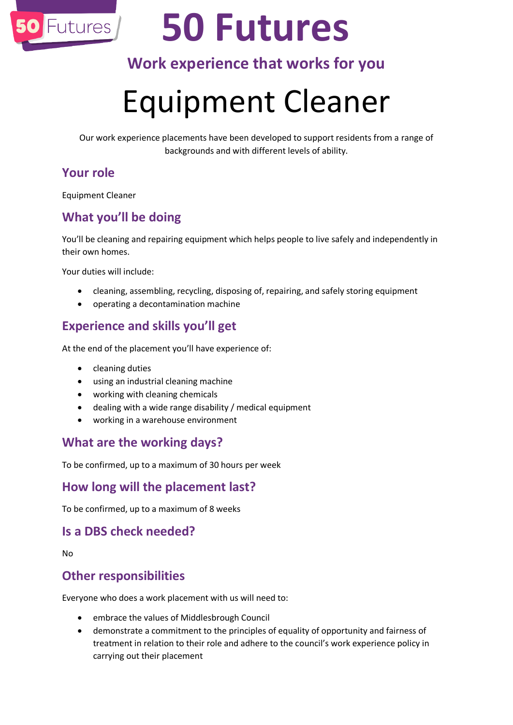

# **50 Futures**

## **Work experience that works for you**

## Equipment Cleaner

Our work experience placements have been developed to support residents from a range of backgrounds and with different levels of ability.

#### **Your role**

Equipment Cleaner

### **What you'll be doing**

You'll be cleaning and repairing equipment which helps people to live safely and independently in their own homes.

Your duties will include:

- cleaning, assembling, recycling, disposing of, repairing, and safely storing equipment
- operating a decontamination machine

### **Experience and skills you'll get**

At the end of the placement you'll have experience of:

- cleaning duties
- using an industrial cleaning machine
- working with cleaning chemicals
- dealing with a wide range disability / medical equipment
- working in a warehouse environment

#### **What are the working days?**

To be confirmed, up to a maximum of 30 hours per week

#### **How long will the placement last?**

To be confirmed, up to a maximum of 8 weeks

#### **Is a DBS check needed?**

No

#### **Other responsibilities**

Everyone who does a work placement with us will need to:

- embrace the values of Middlesbrough Council
- demonstrate a commitment to the principles of equality of opportunity and fairness of treatment in relation to their role and adhere to the council's work experience policy in carrying out their placement